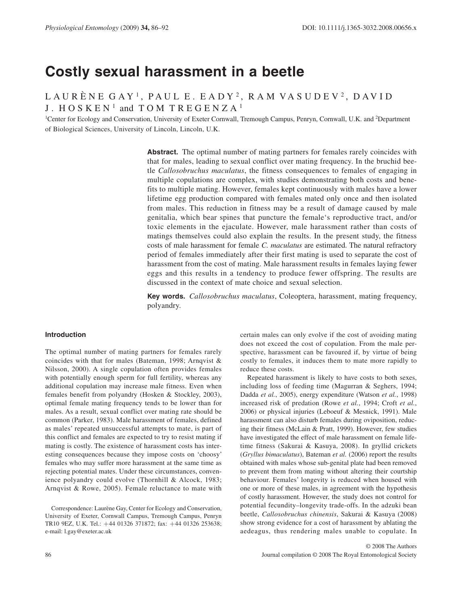# **Costly sexual harassment in a beetle**

 $L$ A U R È N E  $G$  A Y  $^1$  , P A U L  $E$  .  $E$  A D Y  $^2$  ,  $R$  A M  $\,$  V A S U D E V  $^2$  ,  $D$  A V I D J. HOSKEN<sup>1</sup> and TOM TREGENZA<sup>1</sup>

Center for Ecology and Conservation, University of Exeter Cornwall, Tremough Campus, Penryn, Cornwall, U.K. and <sup>2</sup>Department of Biological Sciences, University of Lincoln, Lincoln, U.K.

> Abstract. The optimal number of mating partners for females rarely coincides with that for males, leading to sexual conflict over mating frequency. In the bruchid beetle *Callosobruchus maculatus* , the fitness consequences to females of engaging in multiple copulations are complex, with studies demonstrating both costs and benefits to multiple mating. However, females kept continuously with males have a lower lifetime egg production compared with females mated only once and then isolated from males. This reduction in fitness may be a result of damage caused by male genitalia, which bear spines that puncture the female's reproductive tract, and/or toxic elements in the ejaculate. However, male harassment rather than costs of matings themselves could also explain the results. In the present study, the fitness costs of male harassment for female *C. maculatus* are estimated. The natural refractory period of females immediately after their first mating is used to separate the cost of harassment from the cost of mating. Male harassment results in females laying fewer eggs and this results in a tendency to produce fewer offspring. The results are discussed in the context of mate choice and sexual selection.

> Key words. *Callosobruchus maculatus*, Coleoptera, harassment, mating frequency, polyandry.

## **Introduction**

 The optimal number of mating partners for females rarely coincides with that for males (Bateman, 1998; Arnqvist  $\&$ Nilsson, 2000). A single copulation often provides females with potentially enough sperm for full fertility, whereas any additional copulation may increase male fitness. Even when females benefit from polyandry (Hosken & Stockley, 2003), optimal female mating frequency tends to be lower than for males. As a result, sexual conflict over mating rate should be common (Parker, 1983). Male harassment of females, defined as males' repeated unsuccessful attempts to mate, is part of this conflict and females are expected to try to resist mating if mating is costly. The existence of harassment costs has interesting consequences because they impose costs on 'choosy' females who may suffer more harassment at the same time as rejecting potential mates. Under these circumstances, convenience polyandry could evolve (Thornhill & Alcock, 1983; Arnqvist & Rowe, 2005). Female reluctance to mate with

 Correspondence: Laurène Gay, Center for Ecology and Conservation, University of Exeter, Cornwall Campus, Tremough Campus, Penryn TR10 9EZ, U.K. Tel.: +44 01326 371872; fax: +44 01326 253638; e-mail: l.gay@exeter.ac.uk

certain males can only evolve if the cost of avoiding mating does not exceed the cost of copulation. From the male perspective, harassment can be favoured if, by virtue of being costly to females, it induces them to mate more rapidly to reduce these costs.

 Repeated harassment is likely to have costs to both sexes, including loss of feeding time (Magurran & Seghers, 1994; Dadda *et al.*, 2005), energy expenditure (Watson *et al.*, 1998) increased risk of predation (Rowe *et al.*, 1994; Croft *et al.*, 2006) or physical injuries (Leboeuf & Mesnick, 1991). Male harassment can also disturb females during oviposition, reducing their fitness (McLain & Pratt, 1999). However, few studies have investigated the effect of male harassment on female lifetime fitness (Sakurai & Kasuya, 2008). In gryllid crickets ( *Gryllus bimaculatus* ), Bateman *et al.* (2006) report the results obtained with males whose sub-genital plate had been removed to prevent them from mating without altering their courtship behaviour. Females' longevity is reduced when housed with one or more of these males, in agreement with the hypothesis of costly harassment. However, the study does not control for potential fecundity-longevity trade-offs. In the adzuki bean beetle, *Callosobruchus chinensis* , Sakurai & Kasuya (2008) show strong evidence for a cost of harassment by ablating the aedeagus, thus rendering males unable to copulate. In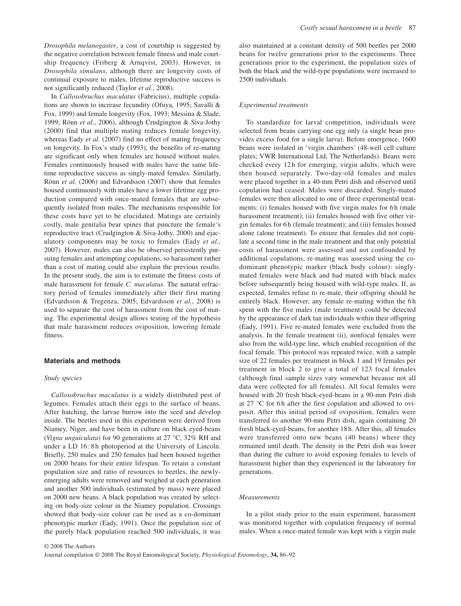*Drosophila melanogaster* , a cost of courtship is suggested by the negative correlation between female fitness and male courtship frequency (Friberg & Arnqvist, 2003). However, in *Drosophila simulans* , although there are longevity costs of continual exposure to males, lifetime reproductive success is not significantly reduced (Taylor et al., 2008).

 In *Callosobruchus maculatus* (Fabricius), multiple copulations are shown to increase fecundity (Ofuya, 1995; Savalli  $\&$ Fox, 1999) and female longevity (Fox, 1993; Messina & Slade, 1999; Rönn et al., 2006), although Crudgington & Siva-Jothy (2000) find that multiple mating reduces female longevity, whereas Eady *et al.* (2007) find no effect of mating frequency on longevity. In Fox's study (1993), the benefits of re-mating are significant only when females are housed without males. Females continuously housed with males have the same lifetime reproductive success as singly-mated females. Similarly, Rönn *et al.* (2006) and Edvardsson (2007) show that females housed continuously with males have a lower lifetime egg production compared with once-mated females that are subsequently isolated from males. The mechanisms responsible for these costs have yet to be elucidated. Matings are certainly costly, male genitalia bear spines that puncture the female's reproductive tract (Crudgington & Siva-Jothy, 2000) and ejaculatory components may be toxic to females (Eady et al., 2007). However, males can also be observed persistently pursuing females and attempting copulations, so harassment rather than a cost of mating could also explain the previous results. In the present study, the aim is to estimate the fitness costs of male harassment for female *C. maculatus* . The natural refractory period of females immediately after their first mating (Edvardsson & Tregenza, 2005; Edvardsson *et al.*, 2008) is used to separate the cost of harassment from the cost of mating. The experimental design allows testing of the hypothesis that male harassment reduces oviposition, lowering female fitness.

# **Materials and methods**

#### *Study species*

*Callosobruchus maculatus* is a widely distributed pest of legumes. Females attach their eggs to the surface of beans. After hatching, the larvae burrow into the seed and develop inside. The beetles used in this experiment were derived from Niamey, Niger, and have been in culture on black eyed-beans ( *Vigna unguiculata* ) for 90 generations at 27 °C, 32% RH and under a LD 16:8h photoperiod at the University of Lincoln. Briefly, 250 males and 250 females had been housed together on 2000 beans for their entire lifespan. To retain a constant population size and ratio of resources to beetles, the newlyemerging adults were removed and weighed at each generation and another 500 individuals (estimated by mass) were placed on 2000 new beans. A black population was created by selecting on body-size colour in the Niamey population. Crossings showed that body-size colour can be used as a co-dominant phenotypic marker (Eady, 1991). Once the population size of the purely black population reached 500 individuals, it was

also maintained at a constant density of 500 beetles per 2000 beans for twelve generations prior to the experiments. Three generations prior to the experiment, the population sizes of both the black and the wild-type populations were increased to 2500 individuals.

## *Experimental treatments*

 To standardize for larval competition, individuals were selected from beans carrying one egg only (a single bean provides excess food for a single larva). Before emergence, 1600 beans were isolated in 'virgin chambers' (48-well cell culture plates; VWR International Ltd, The Netherlands). Beans were checked every 12 h for emerging, virgin adults, which were then housed separately. Two-day-old females and males were placed together in a 40-mm Petri dish and observed until copulation had ceased. Males were discarded. Singly-mated females were then allocated to one of three experimental treatments: (i) females housed with five virgin males for 6h (male harassment treatment); (ii) females housed with five other virgin females for 6 h (female treatment); and (iii) females housed alone (alone treatment). To ensure that females did not copulate a second time in the male treatment and that only potential costs of harassment were assessed and not confounded by additional copulations, re-mating was assessed using the codominant phenotypic marker (black body colour): singlymated females were black and had mated with black males before subsequently being housed with wild-type males. If, as expected, females refuse to re-mate, their offspring should be entirely black. However, any female re-mating within the 6h spent with the five males (male treatment) could be detected by the appearance of dark tan individuals within their offspring (Eady, 1991). Five re-mated females were excluded from the analysis. In the female treatment (ii), nonfocal females were also from the wild-type line, which enabled recognition of the focal female. This protocol was repeated twice, with a sample size of 22 females per treatment in block 1 and 19 females per treatment in block 2 to give a total of 123 focal females (although final sample sizes vary somewhat because not all data were collected for all females). All focal females were housed with 20 fresh black-eyed-beans in a 90-mm Petri dish at 27  $\degree$ C for 6h after the first copulation and allowed to oviposit. After this initial period of oviposition, females were transferred to another 90-mm Petri dish, again containing 20 fresh black-eyed-beans, for another 18 h. After this, all females were transferred onto new beans (40 beans) where they remained until death. The density in the Petri dish was lower than during the culture to avoid exposing females to levels of harassment higher than they experienced in the laboratory for generations.

## *Measurements*

 In a pilot study prior to the main experiment, harassment was monitored together with copulation frequency of normal males. When a once-mated female was kept with a virgin male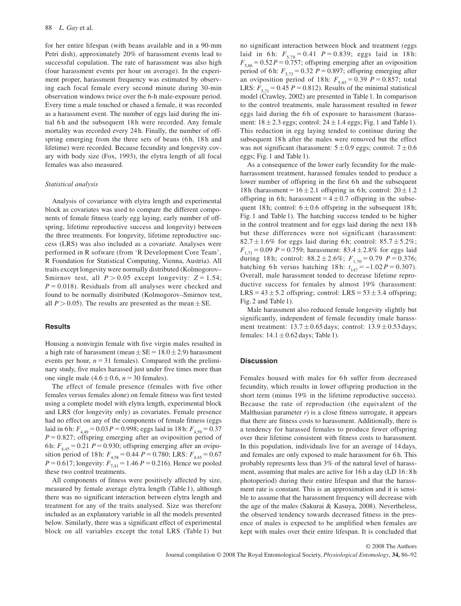for her entire lifespan (with beans available and in a 90-mm Petri dish), approximately 20% of harassment events lead to successful copulation. The rate of harassment was also high (four harassment events per hour on average). In the experiment proper, harassment frequency was estimated by observing each focal female every second minute during 30-min observation windows twice over the 6-h male-exposure period. Every time a male touched or chased a female, it was recorded as a harassment event. The number of eggs laid during the initial 6h and the subsequent 18h were recorded. Any female mortality was recorded every 24 h. Finally, the number of offspring emerging from the three sets of beans (6h, 18h and lifetime) were recorded. Because fecundity and longevity covary with body size (Fox, 1993), the elytra length of all focal females was also measured.

## *Statistical analysis*

 Analysis of covariance with elytra length and experimental block as covariates was used to compare the different components of female fitness (early egg laying, early number of offspring, lifetime reproductive success and longevity) between the three treatments. For longevity, lifetime reproductive success (LRS) was also included as a covariate. Analyses were performed in R sofware (from 'R Development Core Team'' R Foundation for Statistical Computing, Vienna, Austria). All traits except longevity were normally distributed (Kolmogorov – Smirnov test, all  $P > 0.05$  except longevity:  $Z = 1.54$ ;  $P = 0.018$ ). Residuals from all analyses were checked and found to be normally distributed (Kolmogorov-Smirnov test, all  $P > 0.05$ ). The results are presented as the mean  $\pm$  SE.

#### **Results**

 Housing a nonvirgin female with five virgin males resulted in a high rate of harassment (mean  $\pm$  SE = 18.0  $\pm$  2.9) harassment events per hour,  $n = 31$  females). Compared with the preliminary study, five males harassed just under five times more than one single male  $(4.6 \pm 0.6, n = 30$  females).

 The effect of female presence (females with five other females versus females alone) on female fitness was first tested using a complete model with elytra length, experimental block and LRS (for longevity only) as covariates. Female presence had no effect on any of the components of female fitness (eggs laid in 6 h:  $F_{4,49} = 0.03 P = 0.998$ ; eggs laid in 18 h:  $F_{4,59} = 0.37$  $P = 0.827$ ; offspring emerging after an oviposition period of 6 h:  $F_{4.45} = 0.21$  *P* = 0.930; offspring emerging after an oviposition period of 18 h:  $F_{4.58} = 0.44$  *P* = 0.780; LRS:  $F_{4.45} = 0.67$ *P* = 0.617; longevity:  $F_{7,41}^{7,60}$  = 1.46 *P* = 0.216). Hence we pooled these two control treatments.

 All components of fitness were positively affected by size, measured by female average elytra length (Table 1), although there was no significant interaction between elytra length and treatment for any of the traits analysed. Size was therefore included as an explanatory variable in all the models presented below. Similarly, there was a significant effect of experimental block on all variables except the total LRS (Table 1) but no significant interaction between block and treatment (eggs laid in 6h:  $F_{5,78} = 0.41$   $P = 0.839$ ; eggs laid in 18h:  $F_{5,86} = 0.52 P = 0.757$ ; offspring emerging after an oviposition period of 6 h:  $F_{5,73} = 0.32$  *P* = 0.897; offspring emerging after an oviposition period of 18 h:  $F_{5,85} = 0.39$  *P* = 0.857; total LRS:  $F_{5,71} = 0.45$  *P* = 0.812). Results of the minimal statistical model (Crawley, 2002) are presented in Table 1. In comparison to the control treatments, male harassment resulted in fewer eggs laid during the 6h of exposure to harassment (harassment:  $18 \pm 2.3$  eggs; control:  $24 \pm 1.4$  eggs; Fig. 1 and Table 1). This reduction in egg laying tended to continue during the subsequent 18 h after the males were removed but the effect was not significant (harassment:  $5 \pm 0.9$  eggs; control:  $7 \pm 0.6$ eggs; Fig. 1 and Table 1).

 As a consequence of the lower early fecundity for the maleharrassment treatment, harassed females tended to produce a lower number of offspring in the first 6h and the subsequent 18h (harassment =  $16 \pm 2.1$  offspring in 6h; control:  $20 \pm 1.2$ offspring in 6 h; harassment  $= 4 \pm 0.7$  offspring in the subsequent 18 h; control:  $6 \pm 0.6$  offspring in the subsequent 18 h; Fig. 1 and Table 1). The hatching success tended to be higher in the control treatment and for eggs laid during the next 18 h but these differences were not significant (harassment: 82.7  $\pm$  1.6% for eggs laid during 6 h; control: 85.7  $\pm$  5.2%;  $F_{1,71} = 0.09$  *P* = 0.759; harassment: 83.4 ± 2.8% for eggs laid during 18 h; control:  $88.2 \pm 2.6\%$ ;  $F_{1,70} = 0.79$   $P = 0.376$ ; hatching 6h versus hatching 18 h:  $t_{147} = -1.02 P = 0.307$ ). Overall, male harassment tended to decrease lifetime reproductive success for females by almost 19% (harassment: LRS =  $43 \pm 5.2$  offspring; control: LRS =  $53 \pm 3.4$  offspring; Fig. 2 and Table 1).

 Male harassment also reduced female longevity slightly but significantly, independent of female fecundity (male harassment treatment:  $13.7 \pm 0.65$  days; control:  $13.9 \pm 0.53$  days; females:  $14.1 \pm 0.62$  days; Table 1).

#### **Discussion**

Females housed with males for 6h suffer from decreased fecundity, which results in lower offspring production in the short term (minus 19% in the lifetime reproductive success). Because the rate of reproduction (the equivalent of the Malthusian parameter  $r$ ) is a close fitness surrogate, it appears that there are fitness costs to harassment. Additionally, there is a tendency for harassed females to produce fewer offspring over their lifetime consistent with fitness costs to harassment. In this population, individuals live for an average of 14 days, and females are only exposed to male harassment for 6h. This probably represents less than 3% of the natural level of harassment, assuming that males are active for 16h a day (LD 16:8h) photoperiod) during their entire lifespan and that the harassment rate is constant. This is an approximation and it is sensible to assume that the harassment frequency will decrease with the age of the males (Sakurai & Kasuya, 2008). Nevertheless, the observed tendency towards decreased fitness in the presence of males is expected to be amplified when females are kept with males over their entire lifespan. It is concluded that

© 2008 The Authors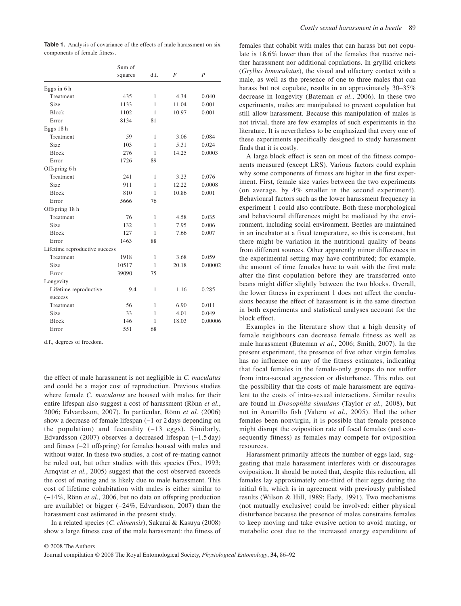**Table 1.** Analysis of covariance of the effects of male harassment on six components of female fitness.

|                               | Sum of  |              |       |                  |
|-------------------------------|---------|--------------|-------|------------------|
|                               | squares | d.f.         | F     | $\boldsymbol{P}$ |
| Eggs in 6 h                   |         |              |       |                  |
| Treatment                     | 435     | 1            | 4.34  | 0.040            |
| Size                          | 1133    | 1            | 11.04 | 0.001            |
| <b>Block</b>                  | 1102    | 1            | 10.97 | 0.001            |
| Error                         | 8134    | 81           |       |                  |
| Eggs 18h                      |         |              |       |                  |
| Treatment                     | 59      | $\mathbf{1}$ | 3.06  | 0.084            |
| Size                          | 103     | 1            | 5.31  | 0.024            |
| <b>Block</b>                  | 276     | 1            | 14.25 | 0.0003           |
| Error                         | 1726    | 89           |       |                  |
| Offspring 6 h                 |         |              |       |                  |
| Treatment                     | 241     | 1            | 3.23  | 0.076            |
| Size                          | 911     | 1            | 12.22 | 0.0008           |
| <b>Block</b>                  | 810     | 1            | 10.86 | 0.001            |
| Error                         | 5666    | 76           |       |                  |
| Offspring 18 h                |         |              |       |                  |
| Treatment                     | 76      | 1            | 4.58  | 0.035            |
| Size                          | 132     | 1            | 7.95  | 0.006            |
| <b>Block</b>                  | 127     | 1            | 7.66  | 0.007            |
| Error                         | 1463    | 88           |       |                  |
| Lifetime reproductive success |         |              |       |                  |
| Treatment                     | 1918    | 1            | 3.68  | 0.059            |
| Size                          | 10517   | 1            | 20.18 | 0.00002          |
| Error                         | 39090   | 75           |       |                  |
| Longevity                     |         |              |       |                  |
| Lifetime reproductive         | 9.4     | $\mathbf{1}$ | 1.16  | 0.285            |
| success                       |         |              |       |                  |
| Treatment                     | 56      | 1            | 6.90  | 0.011            |
| Size                          | 33      | 1            | 4.01  | 0.049            |
| <b>Block</b>                  | 146     | 1            | 18.03 | 0.00006          |
| Error                         | 551     | 68           |       |                  |

d.f., degrees of freedom.

the effect of male harassment is not negligible in *C. maculatus* and could be a major cost of reproduction. Previous studies where female *C. maculatus* are housed with males for their entire lifespan also suggest a cost of harassment (Rönn *et al.*, 2006; Edvardsson, 2007). In particular, Rönn et al. (2006) show a decrease of female lifespan (−1 or 2 days depending on the population) and fecundity (−13 eggs). Similarly, Edvardsson (2007) observes a decreased lifespan (−1.5 day) and fitness (−21 offspring) for females housed with males and without water. In these two studies, a cost of re-mating cannot be ruled out, but other studies with this species (Fox, 1993; Arnqvist *et al.*, 2005) suggest that the cost observed exceeds the cost of mating and is likely due to male harassment. This cost of lifetime cohabitation with males is either similar to (−14%, Rönn *et al.* , 2006 , but no data on offspring production are available) or bigger (−24%, Edvardsson, 2007 ) than the harassment cost estimated in the present study.

 In a related species ( *C. chinensis* ), Sakurai & Kasuya (2008) show a large fitness cost of the male harassment: the fitness of females that cohabit with males that can harass but not copulate is 18.6% lower than that of the females that receive neither harassment nor additional copulations. In gryllid crickets ( *Gryllus bimaculatus* ), the visual and olfactory contact with a male, as well as the presence of one to three males that can harass but not copulate, results in an approximately 30-35% decrease in longevity (Bateman et al., 2006). In these two experiments, males are manipulated to prevent copulation but still allow harassment. Because this manipulation of males is not trivial, there are few examples of such experiments in the literature. It is nevertheless to be emphasized that every one of these experiments specifically designed to study harassment finds that it is costly.

 A large block effect is seen on most of the fitness components measured (except LRS). Various factors could explain why some components of fitness are higher in the first experiment. First, female size varies between the two experiments (on average, by 4% smaller in the second experiment). Behavioural factors such as the lower harassment frequency in experiment 1 could also contribute. Both these morphological and behavioural differences might be mediated by the environment, including social environment. Beetles are maintained in an incubator at a fixed temperature, so this is constant, but there might be variation in the nutritional quality of beans from different sources. Other apparently minor differences in the experimental setting may have contributed; for example, the amount of time females have to wait with the first male after the first copulation before they are transferred onto beans might differ slightly between the two blocks. Overall, the lower fitness in experiment 1 does not affect the conclusions because the effect of harassment is in the same direction in both experiments and statistical analyses account for the block effect.

 Examples in the literature show that a high density of female neighbours can decrease female fitness as well as male harassment (Bateman et al., 2006; Smith, 2007). In the present experiment, the presence of five other virgin females has no influence on any of the fitness estimates, indicating that focal females in the female-only groups do not suffer from intra-sexual aggression or disturbance. This rules out the possibility that the costs of male harassment are equivalent to the costs of intra-sexual interactions. Similar results are found in *Drosophila simulans* (Taylor *et al.*, 2008), but not in Amarillo fish (Valero *et al.*, 2005). Had the other females been nonvirgin, it is possible that female presence might disrupt the oviposition rate of focal females (and consequently fitness) as females may compete for oviposition resources.

 Harassment primarily affects the number of eggs laid, suggesting that male harassment interferes with or discourages oviposition. It should be noted that, despite this reduction, all females lay approximately one-third of their eggs during the initial 6h, which is in agreement with previously published results (Wilson & Hill, 1989; Eady, 1991). Two mechanisms (not mutually exclusive) could be involved: either physical disturbance because the presence of males constrains females to keep moving and take evasive action to avoid mating, or metabolic cost due to the increased energy expenditure of

Journal compilation © 2008 The Royal Entomological Society, *Physiological Entomology*, **34,** 86–92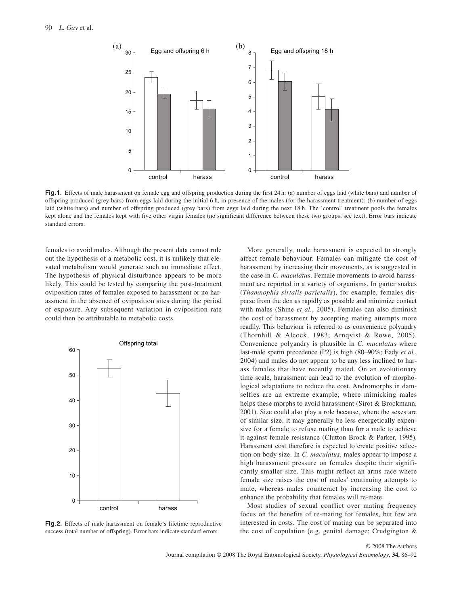

**Fig. 1.** Effects of male harassment on female egg and offspring production during the first 24 h: (a) number of eggs laid (white bars) and number of offspring produced (grey bars) from eggs laid during the initial 6 h, in presence of the males (for the harassment treatment); (b) number of eggs laid (white bars) and number of offspring produced (grey bars) from eggs laid during the next 18 h. The 'control' treatment pools the females kept alone and the females kept with five other virgin females (no significant difference between these two groups, see text). Error bars indicate standard errors.

females to avoid males. Although the present data cannot rule out the hypothesis of a metabolic cost, it is unlikely that elevated metabolism would generate such an immediate effect. The hypothesis of physical disturbance appears to be more likely. This could be tested by comparing the post-treatment oviposition rates of females exposed to harassment or no harassment in the absence of oviposition sites during the period of exposure. Any subsequent variation in oviposition rate could then be attributable to metabolic costs.



**Fig. 2.** Effects of male harassment on female's lifetime reproductive success (total number of offspring). Error bars indicate standard errors.

 More generally, male harassment is expected to strongly affect female behaviour. Females can mitigate the cost of harassment by increasing their movements, as is suggested in the case in *C. maculatus* . Female movements to avoid harassment are reported in a variety of organisms. In garter snakes ( *Thamnophis sirtalis parietalis* ), for example, females disperse from the den as rapidly as possible and minimize contact with males (Shine *et al.*, 2005). Females can also diminish the cost of harassment by accepting mating attempts more readily. This behaviour is referred to as convenience polyandry (Thornhill & Alcock, 1983; Arnqvist & Rowe, 2005). Convenience polyandry is plausible in *C. maculatus* where last-male sperm precedence (P2) is high (80-90%; Eady et al., 2004) and males do not appear to be any less inclined to harass females that have recently mated. On an evolutionary time scale, harassment can lead to the evolution of morphological adaptations to reduce the cost. Andromorphs in damselfies are an extreme example, where mimicking males helps these morphs to avoid harassment (Sirot & Brockmann, 2001). Size could also play a role because, where the sexes are of similar size, it may generally be less energetically expensive for a female to refuse mating than for a male to achieve it against female resistance (Clutton Brock & Parker, 1995). Harassment cost therefore is expected to create positive selection on body size. In *C. maculatus*, males appear to impose a high harassment pressure on females despite their significantly smaller size. This might reflect an arms race where female size raises the cost of males' continuing attempts to mate, whereas males counteract by increasing the cost to enhance the probability that females will re-mate.

 Most studies of sexual conflict over mating frequency focus on the benefits of re-mating for females, but few are interested in costs. The cost of mating can be separated into the cost of copulation (e.g. genital damage; Crudgington &

© 2008 The Authors

Journal compilation © 2008 The Royal Entomological Society, *Physiological Entomology*, **34,** 86–92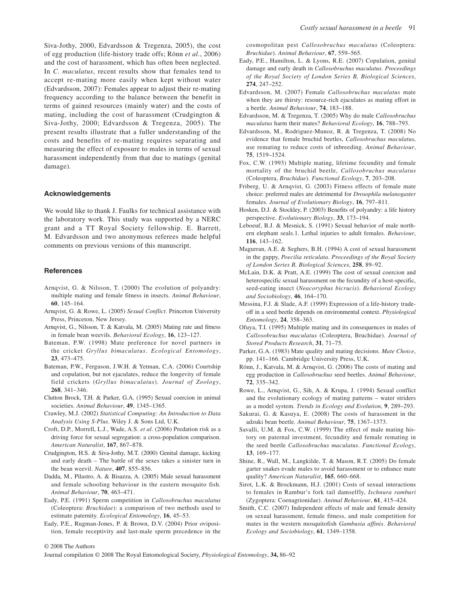Siva-Jothy, 2000, Edvardsson & Tregenza, 2005), the cost of egg production (life-history trade offs; Rönn et al., 2006) and the cost of harassment, which has often been neglected. In *C. maculatus*, recent results show that females tend to accept re-mating more easily when kept without water (Edvardsson, 2007): Females appear to adjust their re-mating frequency according to the balance between the benefit in terms of gained resources (mainly water) and the costs of mating, including the cost of harassment (Crudgington  $\&$ Siva-Jothy, 2000; Edvardsson & Tregenza, 2005). The present results illustrate that a fuller understanding of the costs and benefits of re-mating requires separating and measuring the effect of exposure to males in terms of sexual harassment independently from that due to matings (genital damage).

#### **Acknowledgements**

 We would like to thank J. Faulks for technical assistance with the laboratory work. This study was supported by a NERC grant and a TT Royal Society fellowship. E. Barrett, M. Edvardsson and two anonymous referees made helpful comments on previous versions of this manuscript.

## **References**

- Arnqvist, G. & Nilsson, T. (2000) The evolution of polyandry: multiple mating and female fitness in insects . *Animal Behaviour* , **60** 145 – 164
- Arnqvist, G. & Rowe, L. (2005) *Sexual Conflict*. Princeton University Press, Princeton, New Jersey.
- Arnqvist, G., Nilsson, T. & Katvala, M. (2005) Mating rate and fitness in female bean weevils. *Behavioral Ecology*, **16**, 123-127.
- Bateman, P.W. (1998) Mate preference for novel partners in the cricket *Gryllus bimaculatus* . *Ecological Entomology* , **23** , 473 – 475 .
- Bateman, P.W., Ferguson, J.W.H. & Yetman, C.A. (2006) Courtship and copulation, but not ejaculates, reduce the longevity of female field crickets (Gryllus bimaculatus). Journal of Zoology, **268** .341 – 346
- Clutton Brock, T.H. & Parker, G.A. (1995) Sexual coercion in animal societies. Animal Behaviour, 49, 1345-1365.
- Crawley, M.J. (2002) *Statistical Computing: An Introduction to Data* Analysis Using S-Plus. Wiley J. & Sons Ltd, U.K.
- Croft, D.P., Morrell, L.J., Wade, A.S. et al. (2006) Predation risk as a driving force for sexual segregation: a cross-population comparison. *American Naturalist* , **167** , 867 – 878 .
- Crudgington, H.S. & Siva-Jothy, M.T. (2000) Genital damage, kicking and early death – The battle of the sexes takes a sinister turn in the bean weevil. *Nature*, **407**, 855-856.
- Dadda, M., Pilastro, A. & Bisazza, A. (2005) Male sexual harassment and female schooling behaviour in the eastern mosquito fish. *Animal Behaviour* , **70** , 463 – 471 .
- Eady, P.E. (1991) Sperm competition in *Callosobruchus maculatus* (Coleoptera: *Bruchidae* ): a comparison of two methods used to estimate paternity. *Ecological Entomology*, 16, 45–53.
- Eady, P.E., Rugman-Jones, P. & Brown, D.V. (2004) Prior oviposition, female receptivity and last-male sperm precedence in the

cosmopolitan pest *Callosobruchus maculatus* (Coleoptera: *Bruchidae* ) . *Animal Behaviour* , **67** , 559 – 565 .

- Eady, P.E., Hamilton, L. & Lyons, R.E. (2007) Copulation, genital damage and early death in *Callosobruchus maculatus* . *Proceedings of the Royal Society of London Series B, Biological Sciences* , **274** , 247 – 252 .
- Edvardsson, M. (2007) Female Callosobruchus maculatus mate when they are thirsty: resource-rich ejaculates as mating effort in a beetle. Animal Behaviour, 74, 183-188.
- Edvardsson , M. & Tregenza , T . (2005 ) Why do male *Callosobruchus maculatus* harm their mates? *Behavioral Ecology*, 16, 788-793.
- Edvardsson, M., Rodriguez-Munoz, R. & Tregenza, T. (2008) No evidence that female bruchid beetles, *Callosobruchus maculatus* , use remating to reduce costs of inbreeding. Animal Behaviour, **75** , 1519 – 1524 .
- Fox, C.W. (1993) Multiple mating, lifetime fecundity and female mortality of the bruchid beetle, *Callosobruchus maculatus* (Coleoptera, *Bruchidae*). *Functional Ecology*, 7, 203-208.
- Friberg, U. & Arnqvist, G. (2003) Fitness effects of female mate choice: preferred males are detrimental for *Drosophila melanogaster* females. *Journal of Evolutionary Biology*, 16, 797-811.
- Hosken, D.J. & Stockley, P. (2003) Benefits of polyandry: a life history perspective. Evolutionary Biology, 33, 173-194.
- Leboeuf, B.J. & Mesnick, S. (1991) Sexual behavior of male northern elephant seals.1. Lethal injuries to adult females. *Behaviour*, **116** , 143-162
- Magurran, A.E. & Seghers, B.H. (1994) A cost of sexual harassment in the guppy, *Poecilia reticulata* . *Proceedings of the Royal Society of London Series B, Biological Sciences* , **258** , 89 – 92 .
- McLain, D.K. & Pratt, A.E. (1999) The cost of sexual coercion and heterospecific sexual harassment on the fecundity of a host-specific, seed-eating insect (Neacoryphus bicrucis). Behavioral Ecology *and Sociobiology* , **46** , 164 – 170 .
- Messina, F.J. & Slade, A.F. (1999) Expression of a life-history tradeoff in a seed beetle depends on environmental context . *Physiological Entomology* , **24** , 358 – 363 .
- Ofuya, T.I. (1995) Multiple mating and its consequences in males of *Callosobruchus maculatus* (Coleoptera, Bruchidae) . *Journal of*  Stored Products Research, 31, 71-75.
- Parker, G.A. (1983) Mate quality and mating decisions. Mate Choice, pp. 141-166. Cambridge University Press, U.K.
- Rönn, J., Katvala, M. & Arnqvist, G. (2006) The costs of mating and egg production in *Callosobruchus* seed beetles. *Animal Behaviour* , **72** , 335 – 342 .
- Rowe, L., Arnqvist, G., Sih, A. & Krupa, J. (1994) Sexual conflict and the evolutionary ecology of mating patterns – water striders as a model system. *Trends in Ecology and Evolution*, 9, 289-293.
- Sakurai, G. & Kasuya, E. (2008) The costs of harassment in the adzuki bean beetle. *Animal Behaviour*, **75**, 1367–1373.
- Savalli, U.M. & Fox, C.W. (1999) The effect of male mating history on paternal investment, fecundity and female remating in the seed beetle *Callosobruchus maculatus* . *Functional Ecology* , **13** 169-177
- Shine, R., Wall, M., Langkilde, T. & Mason, R.T. (2005) Do female garter snakes evade males to avoid harassment or to enhance mate quality? *American Naturalist*, **165**, 660-668.
- Sirot, L.K. & Brockmann, H.J. (2001) Costs of sexual interactions to females in Rambur's fork tail damselfly, *Ischnura ramburi* (Zygoptera: Coenagrionidae) . *Animal Behaviour* , **61** , 415 – 424 .
- Smith, C.C. (2007) Independent effects of male and female density on sexual harassment, female fitness, and male competition for mates in the western mosquitofish *Gambusia affinis* . *Behavioral Ecology and Sociobiology* , **61** , 1349 – 1358 .

© 2008 The Authors

Journal compilation © 2008 The Royal Entomological Society, *Physiological Entomology*, **34,** 86–92